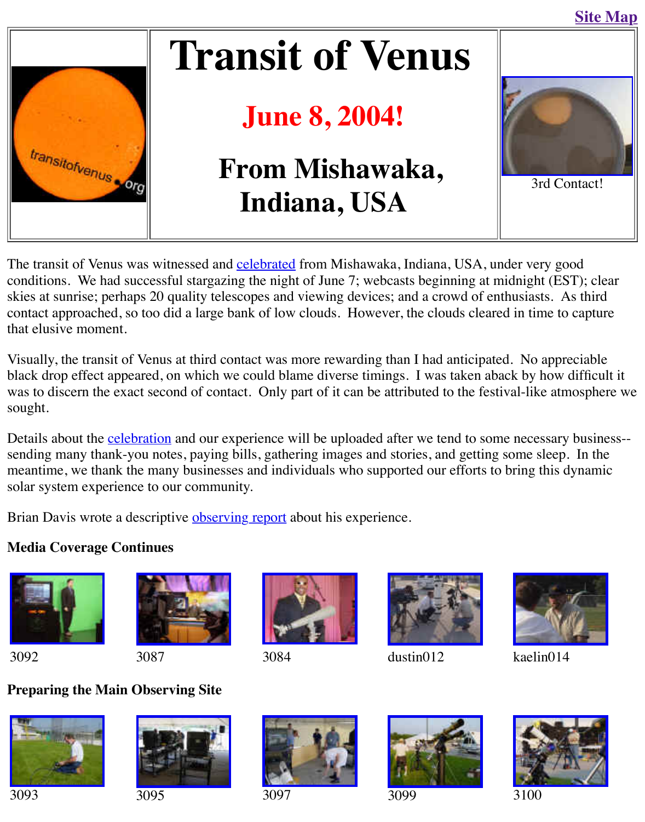

## **June 8, 2004!**

# **From Mishawaka, Indiana, USA**



 $3r<sub>c</sub>$ 

[The transit of Venus was](http://old.transitofvenus.org/index.htm) witnessed and celebrated from Mishawaka, Indiana, USA, under very conditions. We had successful stargazing the night of June 7; webcasts beginning at midnight skies at sunrise; perhaps 20 quality telescopes and viewing devices; and a crowd of enthusiasts. contact approached, so too did a large bank of low clouds. However, the clouds cleared in tim that elusive moment.

Visually, the transit of Venus at third contact was more rewarding than I had anticipated. No a black drop effect appeared, on which w[e could blam](http://old.transitofvenus.org/roadtrip.htm)e diverse timings. I was taken aback by how was to discern the exact second of contact. Only part of it can be attributed to the festival-like sought.

Details about the **celebration** and our experience will be uploaded after we tend to some necesssending many thank-you notes, paying bills, gathering images and stories, and getting some sle meantime, we thank the many businesses and individuals who supported our efforts to bring the solar system experience to our community.

Brian Davis wrote a descriptive observing report about his experience.

#### **Media Coverag[e Continues](http://old.transitofvenus.org/roadtrip.htm)**









3092 3087 3084 dustin012 kaelin



### **[Preparing the M](http://old.transitofvenus.org/2004/dsc03092med.jpg)ain [Observing Site](http://old.transitofvenus.org/2004/dsc03088med.jpg)**









3093 3095 3097 3099 3100



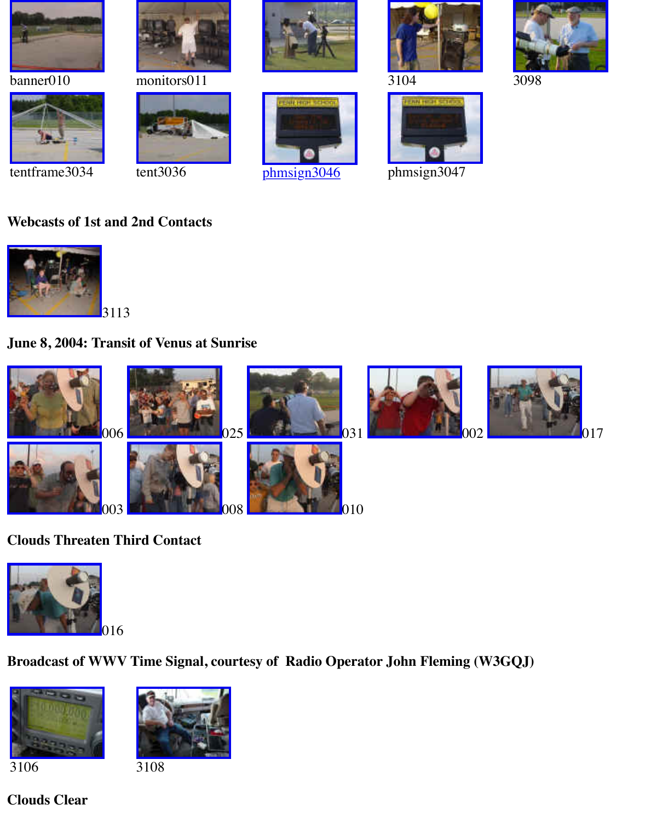







#### **[Webcasts of 1st a](http://old.transitofvenus.org/2004/tentframe03034.jpg)nd [2nd Contacts](http://old.transitofvenus.org/2004/tent03036.jpg)**



#### **June 8, 2004: Transit of Venus at Sunrise**



#### **[Clouds Threaten](http://old.transitofvenus.org/2004/dsc00006.jpg) Third Contact**



**Broadcast of WWV Time Signal, courtesy of Radio Operator John Fleming (W3GQJ)**





3106 3108

#### **[Clouds Clear](http://old.transitofvenus.org/2004/dsc03106med.jpg)**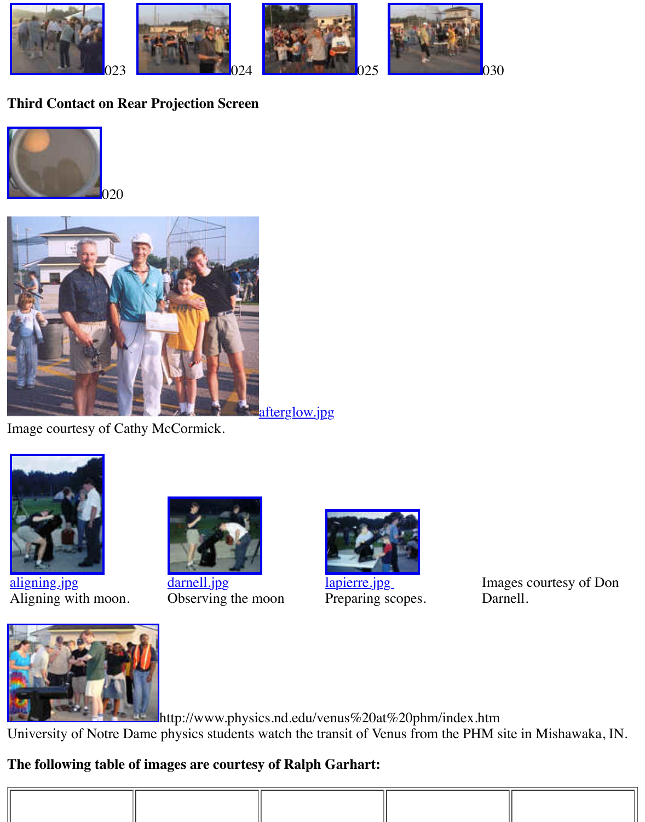



Image courtesy of Cathy McCormick.



aligning.jpg [Aligning with mo](http://old.transitofvenus.org/images/aligning.jpg)on.



darnell.jpg Observing the moon



lapierre.jpg Preparing scopes.

Images cou Darnell.



http://www.physics.nd.edu/venus%20at%20phm/index.htm University of Notre Dame physics students watch the transit of Venus from the PHM site in M

#### **[The following table of im](http://www.physics.nd.edu/venus%20at%20phm/pages/PhysGroup2_jpg.htm)ages are courtesy of Ralph Garhart:**

| $\mathcal{L}^{\text{max}}_{\text{max}}$ and $\mathcal{L}^{\text{max}}_{\text{max}}$ and $\mathcal{L}^{\text{max}}_{\text{max}}$<br>$\mathcal{L}^{\text{max}}_{\text{max}}$ and $\mathcal{L}^{\text{max}}_{\text{max}}$ and $\mathcal{L}^{\text{max}}_{\text{max}}$ |  |  |  |  |  |
|--------------------------------------------------------------------------------------------------------------------------------------------------------------------------------------------------------------------------------------------------------------------|--|--|--|--|--|
|                                                                                                                                                                                                                                                                    |  |  |  |  |  |
|                                                                                                                                                                                                                                                                    |  |  |  |  |  |
|                                                                                                                                                                                                                                                                    |  |  |  |  |  |
|                                                                                                                                                                                                                                                                    |  |  |  |  |  |
|                                                                                                                                                                                                                                                                    |  |  |  |  |  |
|                                                                                                                                                                                                                                                                    |  |  |  |  |  |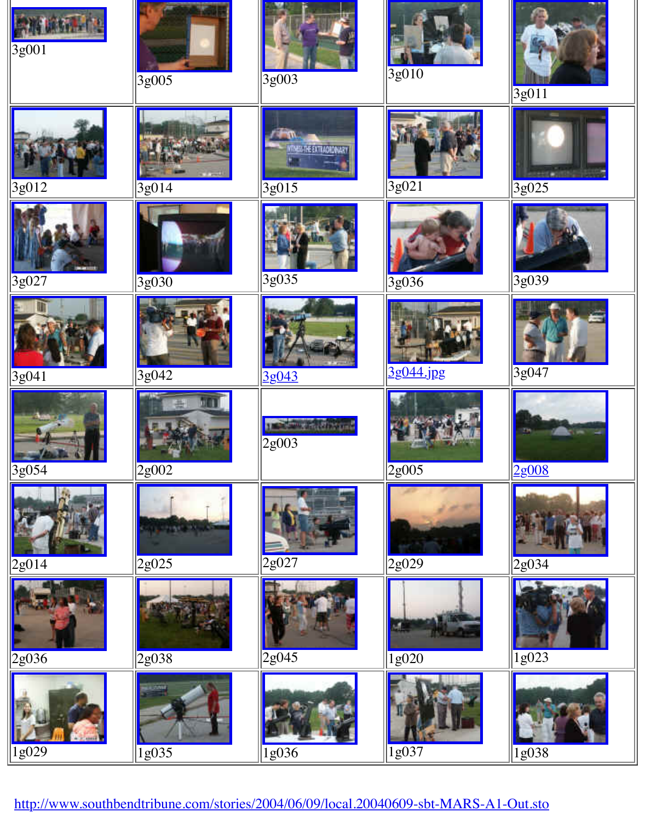| $ 3g012\rangle$      | 3g014          | ASS THE EXTRACADINAR<br>$3g01\overline{5}$ | $3g0\overline{21}$        | 3g025              |
|----------------------|----------------|--------------------------------------------|---------------------------|--------------------|
| 3g027                | 3g030          | $3g\overline{035}$                         | $3\overline{\text{g}036}$ | 3g039              |
| $\frac{13g(041)}{2}$ | $\sqrt{3g042}$ | <u>3g043</u>                               | 3g044.jpg                 | 3g047              |
| 3g054                | 2g002          | <b>Alban</b><br>2g003                      | 2g005                     | 2g008              |
| $\frac{2g014}{g}$    | $\sqrt{2g025}$ | 2g027                                      | 2g029                     | 2g034              |
| 2g036                | 2g038          | $2g\overline{045}$                         | 1g020                     | $\overline{1g023}$ |
| 1g029                | $\sqrt{1g035}$ | $\frac{1g036}{2}$                          | $1\overline{\text{g}037}$ | 1g038              |

[http://www.south](http://old.transitofvenus.org/images/1g029.jpg)ben[dtribune.com/stor](http://old.transitofvenus.org/images/1g035.jpg)ies/[2004/06/09/local.2](http://old.transitofvenus.org/images/1g036.jpg)004[0609-sbt-MARS-](http://old.transitofvenus.org/images/1g037.jpg)A1-[Out.sto](http://old.transitofvenus.org/images/1g038.jpg)